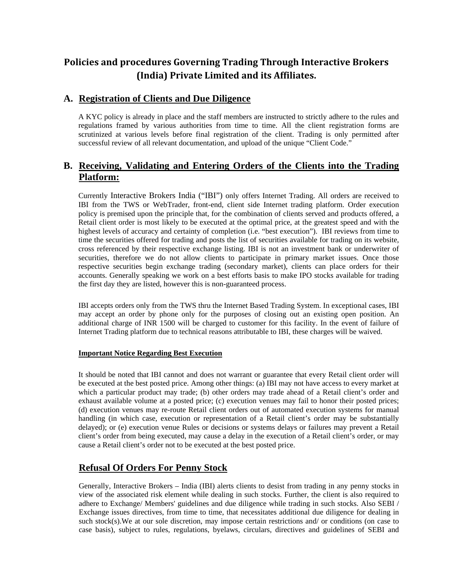# **Policies and procedures Governing Trading Through Interactive Brokers (India) Private Limited and its Affiliates.**

### **A. Registration of Clients and Due Diligence**

A KYC policy is already in place and the staff members are instructed to strictly adhere to the rules and regulations framed by various authorities from time to time. All the client registration forms are scrutinized at various levels before final registration of the client. Trading is only permitted after successful review of all relevant documentation, and upload of the unique "Client Code."

## **B. Receiving, Validating and Entering Orders of the Clients into the Trading Platform:**

Currently Interactive Brokers India ("IBI") only offers Internet Trading. All orders are received to IBI from the TWS or WebTrader, front-end, client side Internet trading platform. Order execution policy is premised upon the principle that, for the combination of clients served and products offered, a Retail client order is most likely to be executed at the optimal price, at the greatest speed and with the highest levels of accuracy and certainty of completion (i.e. "best execution"). IBI reviews from time to time the securities offered for trading and posts the list of securities available for trading on its website, cross referenced by their respective exchange listing. IBI is not an investment bank or underwriter of securities, therefore we do not allow clients to participate in primary market issues. Once those respective securities begin exchange trading (secondary market), clients can place orders for their accounts. Generally speaking we work on a best efforts basis to make IPO stocks available for trading the first day they are listed, however this is non-guaranteed process.

IBI accepts orders only from the TWS thru the Internet Based Trading System. In exceptional cases, IBI may accept an order by phone only for the purposes of closing out an existing open position. An additional charge of INR 1500 will be charged to customer for this facility. In the event of failure of Internet Trading platform due to technical reasons attributable to IBI, these charges will be waived.

### **Important Notice Regarding Best Execution**

It should be noted that IBI cannot and does not warrant or guarantee that every Retail client order will be executed at the best posted price. Among other things: (a) IBI may not have access to every market at which a particular product may trade; (b) other orders may trade ahead of a Retail client's order and exhaust available volume at a posted price; (c) execution venues may fail to honor their posted prices; (d) execution venues may re-route Retail client orders out of automated execution systems for manual handling (in which case, execution or representation of a Retail client's order may be substantially delayed); or (e) execution venue Rules or decisions or systems delays or failures may prevent a Retail client's order from being executed, may cause a delay in the execution of a Retail client's order, or may cause a Retail client's order not to be executed at the best posted price.

### **Refusal Of Orders For Penny Stock**

Generally, Interactive Brokers – India (IBI) alerts clients to desist from trading in any penny stocks in view of the associated risk element while dealing in such stocks. Further, the client is also required to adhere to Exchange/ Members' guidelines and due diligence while trading in such stocks. Also SEBI / Exchange issues directives, from time to time, that necessitates additional due diligence for dealing in such stock(s). We at our sole discretion, may impose certain restrictions and/ or conditions (on case to case basis), subject to rules, regulations, byelaws, circulars, directives and guidelines of SEBI and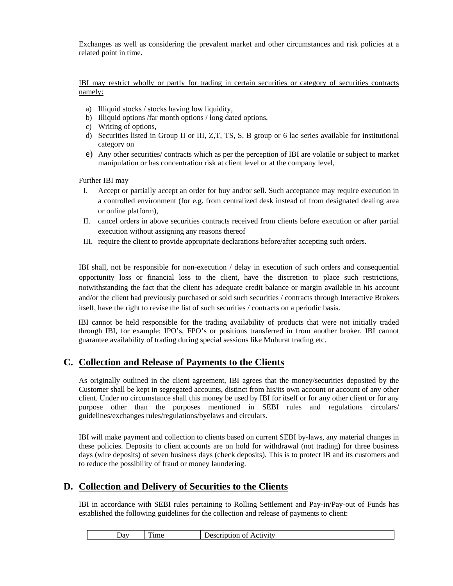Exchanges as well as considering the prevalent market and other circumstances and risk policies at a related point in time.

IBI may restrict wholly or partly for trading in certain securities or category of securities contracts namely:

- a) Illiquid stocks / stocks having low liquidity,
- b) Illiquid options /far month options / long dated options,
- c) Writing of options,
- d) Securities listed in Group II or III, Z,T, TS, S, B group or 6 lac series available for institutional category on
- e) Any other securities/ contracts which as per the perception of IBI are volatile or subject to market manipulation or has concentration risk at client level or at the company level,

Further IBI may

- I. Accept or partially accept an order for buy and/or sell. Such acceptance may require execution in a controlled environment (for e.g. from centralized desk instead of from designated dealing area or online platform),
- II. cancel orders in above securities contracts received from clients before execution or after partial execution without assigning any reasons thereof
- III. require the client to provide appropriate declarations before/after accepting such orders.

IBI shall, not be responsible for non-execution / delay in execution of such orders and consequential opportunity loss or financial loss to the client, have the discretion to place such restrictions, notwithstanding the fact that the client has adequate credit balance or margin available in his account and/or the client had previously purchased or sold such securities / contracts through Interactive Brokers itself, have the right to revise the list of such securities / contracts on a periodic basis.

IBI cannot be held responsible for the trading availability of products that were not initially traded through IBI, for example: IPO's, FPO's or positions transferred in from another broker. IBI cannot guarantee availability of trading during special sessions like Muhurat trading etc.

### **C. Collection and Release of Payments to the Clients**

As originally outlined in the client agreement, IBI agrees that the money/securities deposited by the Customer shall be kept in segregated accounts, distinct from his/its own account or account of any other client. Under no circumstance shall this money be used by IBI for itself or for any other client or for any purpose other than the purposes mentioned in SEBI rules and regulations circulars/ guidelines/exchanges rules/regulations/byelaws and circulars.

IBI will make payment and collection to clients based on current SEBI by-laws, any material changes in these policies. Deposits to client accounts are on hold for withdrawal (not trading) for three business days (wire deposits) of seven business days (check deposits). This is to protect IB and its customers and to reduce the possibility of fraud or money laundering.

### **D. Collection and Delivery of Securities to the Clients**

IBI in accordance with SEBI rules pertaining to Rolling Settlement and Pay-in/Pay-out of Funds has established the following guidelines for the collection and release of payments to client:

| $\boldsymbol{\mathsf{v}}$ av | $\overline{\phantom{a}}$<br>Time | Activity<br>---<br>ΩŤ<br>۱Δ۰<br>uon<br>-1122<br>ം.<br>---- ------ |
|------------------------------|----------------------------------|-------------------------------------------------------------------|
|                              |                                  |                                                                   |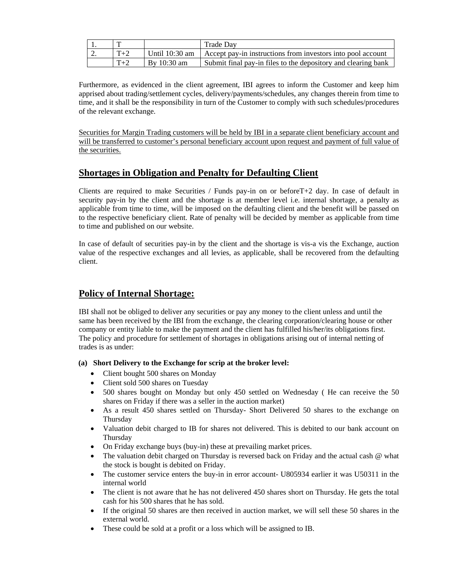|    |       |                  | Trade Dav                                                     |
|----|-------|------------------|---------------------------------------------------------------|
| ٠. | $T+2$ | Until $10:30$ am | Accept pay-in instructions from investors into pool account   |
|    | $T+2$ | By $10:30$ am    | Submit final pay-in files to the depository and clearing bank |

Furthermore, as evidenced in the client agreement, IBI agrees to inform the Customer and keep him apprised about trading/settlement cycles, delivery/payments/schedules, any changes therein from time to time, and it shall be the responsibility in turn of the Customer to comply with such schedules/procedures of the relevant exchange.

Securities for Margin Trading customers will be held by IBI in a separate client beneficiary account and will be transferred to customer's personal beneficiary account upon request and payment of full value of the securities.

### **Shortages in Obligation and Penalty for Defaulting Client**

Clients are required to make Securities / Funds pay-in on or beforeT+2 day. In case of default in security pay-in by the client and the shortage is at member level i.e. internal shortage, a penalty as applicable from time to time, will be imposed on the defaulting client and the benefit will be passed on to the respective beneficiary client. Rate of penalty will be decided by member as applicable from time to time and published on our website.

In case of default of securities pay-in by the client and the shortage is vis-a vis the Exchange, auction value of the respective exchanges and all levies, as applicable, shall be recovered from the defaulting client.

### **Policy of Internal Shortage:**

IBI shall not be obliged to deliver any securities or pay any money to the client unless and until the same has been received by the IBI from the exchange, the clearing corporation/clearing house or other company or entity liable to make the payment and the client has fulfilled his/her/its obligations first. The policy and procedure for settlement of shortages in obligations arising out of internal netting of trades is as under:

### **(a) Short Delivery to the Exchange for scrip at the broker level:**

- Client bought 500 shares on Monday
- Client sold 500 shares on Tuesday
- 500 shares bought on Monday but only 450 settled on Wednesday ( He can receive the 50 shares on Friday if there was a seller in the auction market)
- As a result 450 shares settled on Thursday- Short Delivered 50 shares to the exchange on Thursday
- Valuation debit charged to IB for shares not delivered. This is debited to our bank account on Thursday
- On Friday exchange buys (buy-in) these at prevailing market prices.
- The valuation debit charged on Thursday is reversed back on Friday and the actual cash @ what the stock is bought is debited on Friday.
- The customer service enters the buy-in in error account- U805934 earlier it was U50311 in the internal world
- The client is not aware that he has not delivered 450 shares short on Thursday. He gets the total cash for his 500 shares that he has sold.
- If the original 50 shares are then received in auction market, we will sell these 50 shares in the external world.
- These could be sold at a profit or a loss which will be assigned to IB.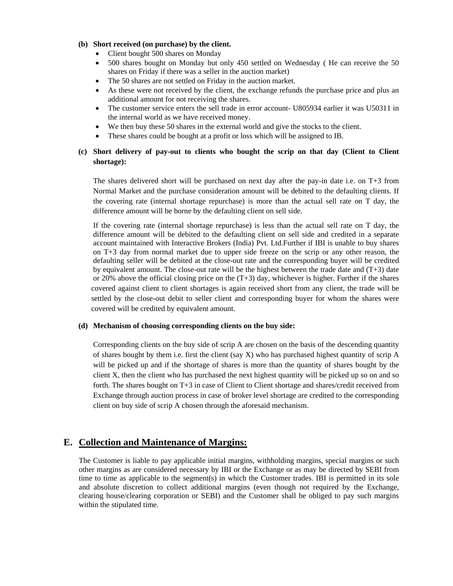#### **(b) Short received (on purchase) by the client.**

- Client bought 500 shares on Monday
- 500 shares bought on Monday but only 450 settled on Wednesday ( He can receive the 50 shares on Friday if there was a seller in the auction market)
- The 50 shares are not settled on Friday in the auction market.
- As these were not received by the client, the exchange refunds the purchase price and plus an additional amount for not receiving the shares.
- The customer service enters the sell trade in error account- U805934 earlier it was U50311 in the internal world as we have received money.
- We then buy these 50 shares in the external world and give the stocks to the client.
- These shares could be bought at a profit or loss which will be assigned to IB.

### **(c) Short delivery of pay-out to clients who bought the scrip on that day (Client to Client shortage):**

The shares delivered short will be purchased on next day after the pay-in date i.e. on T+3 from Normal Market and the purchase consideration amount will be debited to the defaulting clients. If the covering rate (internal shortage repurchase) is more than the actual sell rate on T day, the difference amount will be borne by the defaulting client on sell side.

If the covering rate (internal shortage repurchase) is less than the actual sell rate on T day, the difference amount will be debited to the defaulting client on sell side and credited in a separate account maintained with Interactive Brokers (India) Pvt. Ltd.Further if IBI is unable to buy shares on T+3 day from normal market due to upper side freeze on the scrip or any other reason, the defaulting seller will be debited at the close-out rate and the corresponding buyer will be credited by equivalent amount. The close-out rate will be the highest between the trade date and  $(T+3)$  date or 20% above the official closing price on the  $(T+3)$  day, whichever is higher. Further if the shares covered against client to client shortages is again received short from any client, the trade will be settled by the close-out debit to seller client and corresponding buyer for whom the shares were covered will be credited by equivalent amount.

#### **(d) Mechanism of choosing corresponding clients on the buy side:**

Corresponding clients on the buy side of scrip A are chosen on the basis of the descending quantity of shares bought by them i.e. first the client (say X) who has purchased highest quantity of scrip A will be picked up and if the shortage of shares is more than the quantity of shares bought by the client X, then the client who has purchased the next highest quantity will be picked up so on and so forth. The shares bought on T+3 in case of Client to Client shortage and shares/credit received from Exchange through auction process in case of broker level shortage are credited to the corresponding client on buy side of scrip A chosen through the aforesaid mechanism.

### **E. Collection and Maintenance of Margins:**

The Customer is liable to pay applicable initial margins, withholding margins, special margins or such other margins as are considered necessary by IBI or the Exchange or as may be directed by SEBI from time to time as applicable to the segment(s) in which the Customer trades. IBI is permitted in its sole and absolute discretion to collect additional margins (even though not required by the Exchange, clearing house/clearing corporation or SEBI) and the Customer shall be obliged to pay such margins within the stipulated time.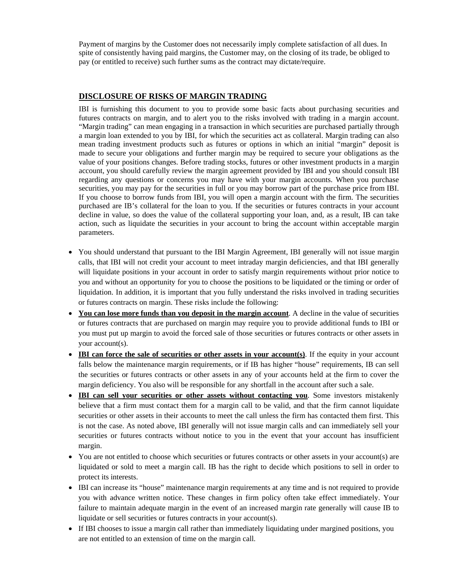Payment of margins by the Customer does not necessarily imply complete satisfaction of all dues. In spite of consistently having paid margins, the Customer may, on the closing of its trade, be obliged to pay (or entitled to receive) such further sums as the contract may dictate/require.

### **DISCLOSURE OF RISKS OF MARGIN TRADING**

IBI is furnishing this document to you to provide some basic facts about purchasing securities and futures contracts on margin, and to alert you to the risks involved with trading in a margin account. "Margin trading" can mean engaging in a transaction in which securities are purchased partially through a margin loan extended to you by IBI, for which the securities act as collateral. Margin trading can also mean trading investment products such as futures or options in which an initial "margin" deposit is made to secure your obligations and further margin may be required to secure your obligations as the value of your positions changes. Before trading stocks, futures or other investment products in a margin account, you should carefully review the margin agreement provided by IBI and you should consult IBI regarding any questions or concerns you may have with your margin accounts. When you purchase securities, you may pay for the securities in full or you may borrow part of the purchase price from IBI. If you choose to borrow funds from IBI, you will open a margin account with the firm. The securities purchased are IB's collateral for the loan to you. If the securities or futures contracts in your account decline in value, so does the value of the collateral supporting your loan, and, as a result, IB can take action, such as liquidate the securities in your account to bring the account within acceptable margin parameters.

- You should understand that pursuant to the IBI Margin Agreement, IBI generally will not issue margin calls, that IBI will not credit your account to meet intraday margin deficiencies, and that IBI generally will liquidate positions in your account in order to satisfy margin requirements without prior notice to you and without an opportunity for you to choose the positions to be liquidated or the timing or order of liquidation. In addition, it is important that you fully understand the risks involved in trading securities or futures contracts on margin. These risks include the following:
- **You can lose more funds than you deposit in the margin account**. A decline in the value of securities or futures contracts that are purchased on margin may require you to provide additional funds to IBI or you must put up margin to avoid the forced sale of those securities or futures contracts or other assets in your account(s).
- **IBI can force the sale of securities or other assets in your account(s)**. If the equity in your account falls below the maintenance margin requirements, or if IB has higher "house" requirements, IB can sell the securities or futures contracts or other assets in any of your accounts held at the firm to cover the margin deficiency. You also will be responsible for any shortfall in the account after such a sale.
- **IBI can sell your securities or other assets without contacting you**. Some investors mistakenly believe that a firm must contact them for a margin call to be valid, and that the firm cannot liquidate securities or other assets in their accounts to meet the call unless the firm has contacted them first. This is not the case. As noted above, IBI generally will not issue margin calls and can immediately sell your securities or futures contracts without notice to you in the event that your account has insufficient margin.
- You are not entitled to choose which securities or futures contracts or other assets in your account(s) are liquidated or sold to meet a margin call. IB has the right to decide which positions to sell in order to protect its interests.
- IBI can increase its "house" maintenance margin requirements at any time and is not required to provide you with advance written notice. These changes in firm policy often take effect immediately. Your failure to maintain adequate margin in the event of an increased margin rate generally will cause IB to liquidate or sell securities or futures contracts in your account(s).
- If IBI chooses to issue a margin call rather than immediately liquidating under margined positions, you are not entitled to an extension of time on the margin call.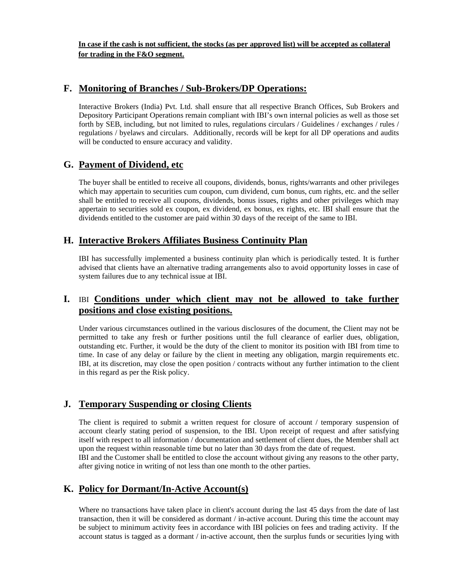**In case if the cash is not sufficient, the stocks (as per approved list) will be accepted as collateral for trading in the F&O segment.** 

### **F. Monitoring of Branches / Sub-Brokers/DP Operations:**

Interactive Brokers (India) Pvt. Ltd. shall ensure that all respective Branch Offices, Sub Brokers and Depository Participant Operations remain compliant with IBI's own internal policies as well as those set forth by SEB, including, but not limited to rules, regulations circulars / Guidelines / exchanges / rules / regulations / byelaws and circulars. Additionally, records will be kept for all DP operations and audits will be conducted to ensure accuracy and validity.

## **G. Payment of Dividend, etc**

The buyer shall be entitled to receive all coupons, dividends, bonus, rights/warrants and other privileges which may appertain to securities cum coupon, cum dividend, cum bonus, cum rights, etc. and the seller shall be entitled to receive all coupons, dividends, bonus issues, rights and other privileges which may appertain to securities sold ex coupon, ex dividend, ex bonus, ex rights, etc. IBI shall ensure that the dividends entitled to the customer are paid within 30 days of the receipt of the same to IBI.

## **H. Interactive Brokers Affiliates Business Continuity Plan**

IBI has successfully implemented a business continuity plan which is periodically tested. It is further advised that clients have an alternative trading arrangements also to avoid opportunity losses in case of system failures due to any technical issue at IBI.

## **I.** IBI **Conditions under which client may not be allowed to take further positions and close existing positions.**

Under various circumstances outlined in the various disclosures of the document, the Client may not be permitted to take any fresh or further positions until the full clearance of earlier dues, obligation, outstanding etc. Further, it would be the duty of the client to monitor its position with IBI from time to time. In case of any delay or failure by the client in meeting any obligation, margin requirements etc. IBI, at its discretion, may close the open position / contracts without any further intimation to the client in this regard as per the Risk policy.

## **J. Temporary Suspending or closing Clients**

The client is required to submit a written request for closure of account / temporary suspension of account clearly stating period of suspension, to the IBI. Upon receipt of request and after satisfying itself with respect to all information / documentation and settlement of client dues, the Member shall act upon the request within reasonable time but no later than 30 days from the date of request.

IBI and the Customer shall be entitled to close the account without giving any reasons to the other party, after giving notice in writing of not less than one month to the other parties.

## **K. Policy for Dormant/In-Active Account(s)**

Where no transactions have taken place in client's account during the last 45 days from the date of last transaction, then it will be considered as dormant / in-active account. During this time the account may be subject to minimum activity fees in accordance with IBI policies on fees and trading activity. If the account status is tagged as a dormant / in-active account, then the surplus funds or securities lying with